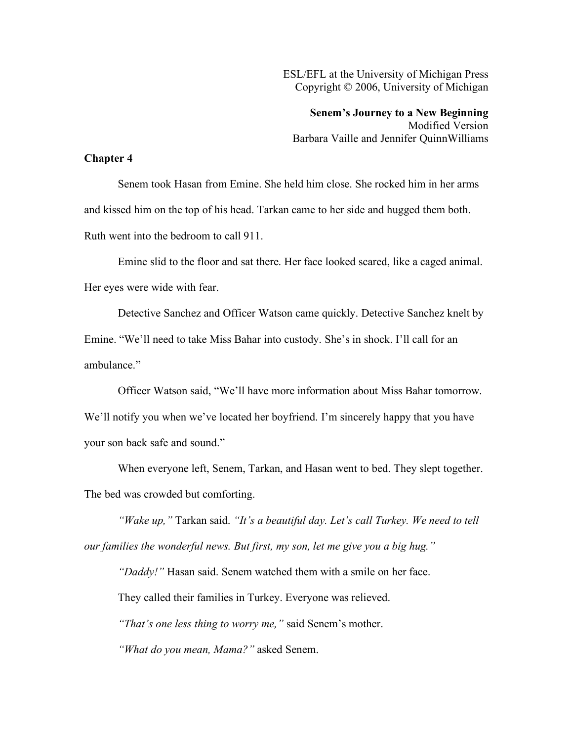ESL/EFL at the University of Michigan Press Copyright © 2006, University of Michigan

**Senem's Journey to a New Beginning** Modified Version Barbara Vaille and Jennifer QuinnWilliams

## **Chapter 4**

Senem took Hasan from Emine. She held him close. She rocked him in her arms and kissed him on the top of his head. Tarkan came to her side and hugged them both. Ruth went into the bedroom to call 911.

Emine slid to the floor and sat there. Her face looked scared, like a caged animal. Her eyes were wide with fear.

Detective Sanchez and Officer Watson came quickly. Detective Sanchez knelt by Emine. "We'll need to take Miss Bahar into custody. She's in shock. I'll call for an ambulance."

Officer Watson said, "We'll have more information about Miss Bahar tomorrow. We'll notify you when we've located her boyfriend. I'm sincerely happy that you have your son back safe and sound."

When everyone left, Senem, Tarkan, and Hasan went to bed. They slept together. The bed was crowded but comforting.

*"Wake up,"* Tarkan said. *"It's a beautiful day. Let's call Turkey. We need to tell our families the wonderful news. But first, my son, let me give you a big hug."*

*"Daddy!"* Hasan said. Senem watched them with a smile on her face.

They called their families in Turkey. Everyone was relieved.

*"That's one less thing to worry me,"* said Senem's mother.

*"What do you mean, Mama?"* asked Senem.